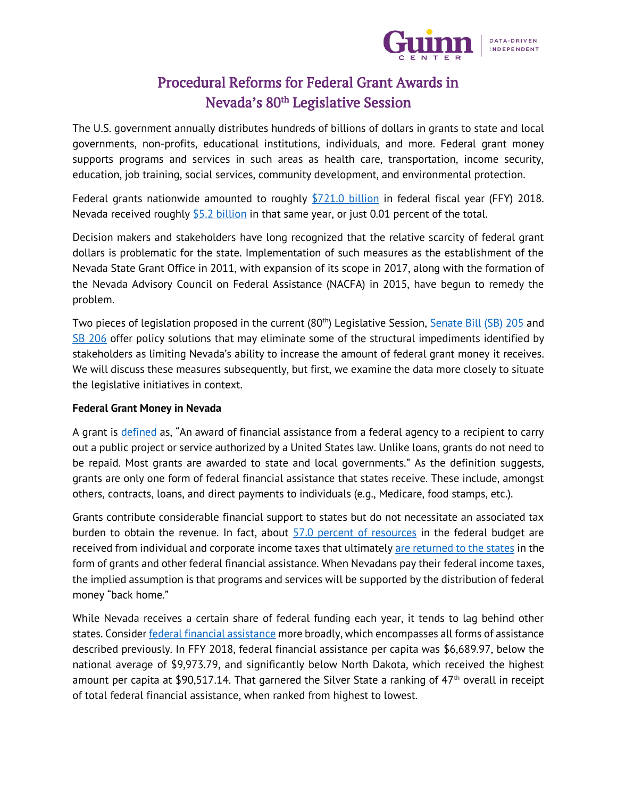

# Procedural Reforms for Federal Grant Awards in Nevada's 80<sup>th</sup> Legislative Session

The U.S. government annually distributes hundreds of billions of dollars in grants to state and local governments, non-profits, educational institutions, individuals, and more. Federal grant money supports programs and services in such areas as health care, transportation, income security, education, job training, social services, community development, and environmental protection.

Federal grants nationwide amounted to roughly [\\$721.0 billion](https://www.usaspending.gov/#/) in federal fiscal year (FFY) 2018. Nevada received roughly  $$5.2$  billion in that same year, or just 0.01 percent of the total.

Decision makers and stakeholders have long recognized that the relative scarcity of federal grant dollars is problematic for the state. Implementation of such measures as the establishment of the Nevada State Grant Office in 2011, with expansion of its scope in 2017, along with the formation of the Nevada Advisory Council on Federal Assistance (NACFA) in 2015, have begun to remedy the problem.

Two pieces of legislation proposed in the current (80<sup>th</sup>) Legislative Session, [Senate Bill \(SB\) 205](https://www.leg.state.nv.us/App/NELIS/REL/80th2019/Bill/6349/Text) and [SB 206](https://www.leg.state.nv.us/App/NELIS/REL/80th2019/Bill/6350/Text) offer policy solutions that may eliminate some of the structural impediments identified by stakeholders as limiting Nevada's ability to increase the amount of federal grant money it receives. We will discuss these measures subsequently, but first, we examine the data more closely to situate the legislative initiatives in context.

## **Federal Grant Money in Nevada**

A grant is [defined](https://www.usaspending.gov/#/) as, "An award of financial assistance from a federal agency to a recipient to carry out a public project or service authorized by a United States law. Unlike loans, grants do not need to be repaid. Most grants are awarded to state and local governments." As the definition suggests, grants are only one form of federal financial assistance that states receive. These include, amongst others, contracts, loans, and direct payments to individuals (e.g., Medicare, food stamps, etc.).

Grants contribute considerable financial support to states but do not necessitate an associated tax burden to obtain the revenue. In fact, about [57.0 percent of resources](https://www.taxpolicycenter.org/briefing-book/what-are-sources-revenue-federal-government) in the federal budget are received from individual and corporate income taxes that ultimately [are returned to the states](https://www.taxpolicycenter.org/briefing-book/what-types-federal-grants-are-made-state-and-local-governments-and-how-do-they-work) in the form of grants and other federal financial assistance. When Nevadans pay their federal income taxes, the implied assumption is that programs and services will be supported by the distribution of federal money "back home."

While Nevada receives a certain share of federal funding each year, it tends to lag behind other states. Conside[r federal financial assistance](https://www.usaspending.gov/#/) more broadly, which encompasses all forms of assistance described previously. In FFY 2018, federal financial assistance per capita was \$6,689.97, below the national average of \$9,973.79, and significantly below North Dakota, which received the highest amount per capita at \$90,517.14. That garnered the Silver State a ranking of 47<sup>th</sup> overall in receipt of total federal financial assistance, when ranked from highest to lowest.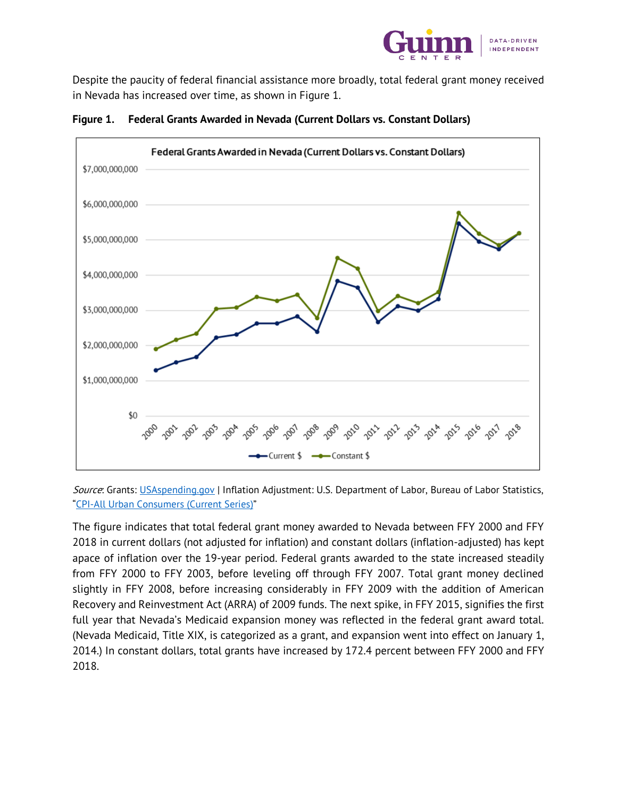

Despite the paucity of federal financial assistance more broadly, total federal grant money received in Nevada has increased over time, as shown in Figure 1.



**Figure 1. Federal Grants Awarded in Nevada (Current Dollars vs. Constant Dollars)**

Source: Grants: [USAspending.gov](https://www.usaspending.gov/#/) | Inflation Adjustment: U.S. Department of Labor, Bureau of Labor Statistics, "[CPI-All Urban Consumers \(Current Series\)](https://data.bls.gov/timeseries/CUUR0000SA0)"

The figure indicates that total federal grant money awarded to Nevada between FFY 2000 and FFY 2018 in current dollars (not adjusted for inflation) and constant dollars (inflation-adjusted) has kept apace of inflation over the 19-year period. Federal grants awarded to the state increased steadily from FFY 2000 to FFY 2003, before leveling off through FFY 2007. Total grant money declined slightly in FFY 2008, before increasing considerably in FFY 2009 with the addition of American Recovery and Reinvestment Act (ARRA) of 2009 funds. The next spike, in FFY 2015, signifies the first full year that Nevada's Medicaid expansion money was reflected in the federal grant award total. (Nevada Medicaid, Title XIX, is categorized as a grant, and expansion went into effect on January 1, 2014.) In constant dollars, total grants have increased by 172.4 percent between FFY 2000 and FFY 2018.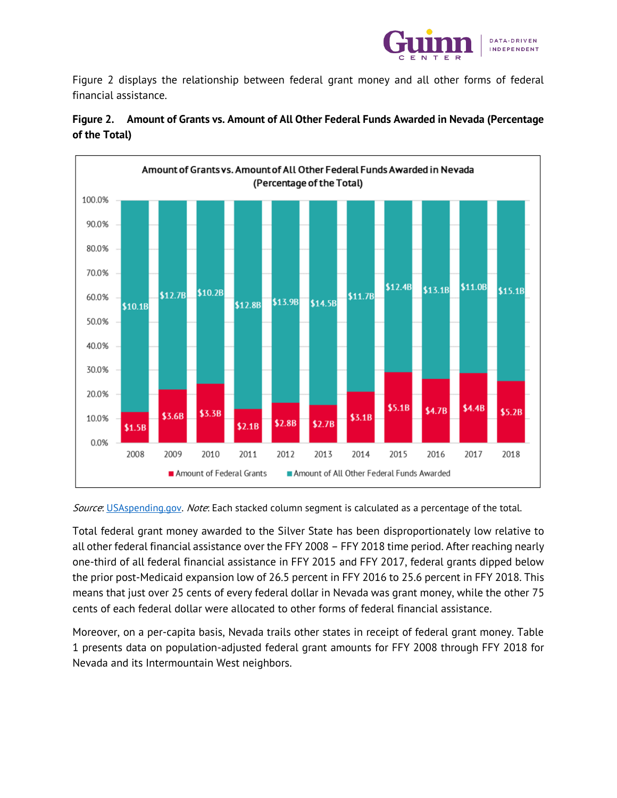

Figure 2 displays the relationship between federal grant money and all other forms of federal financial assistance.



## **Figure 2. Amount of Grants vs. Amount of All Other Federal Funds Awarded in Nevada (Percentage of the Total)**

Source: [USAspending.gov.](https://www.usaspending.gov/#/) Note: Each stacked column segment is calculated as a percentage of the total.

Total federal grant money awarded to the Silver State has been disproportionately low relative to all other federal financial assistance over the FFY 2008 – FFY 2018 time period. After reaching nearly one-third of all federal financial assistance in FFY 2015 and FFY 2017, federal grants dipped below the prior post-Medicaid expansion low of 26.5 percent in FFY 2016 to 25.6 percent in FFY 2018. This means that just over 25 cents of every federal dollar in Nevada was grant money, while the other 75 cents of each federal dollar were allocated to other forms of federal financial assistance.

Moreover, on a per-capita basis, Nevada trails other states in receipt of federal grant money. Table 1 presents data on population-adjusted federal grant amounts for FFY 2008 through FFY 2018 for Nevada and its Intermountain West neighbors.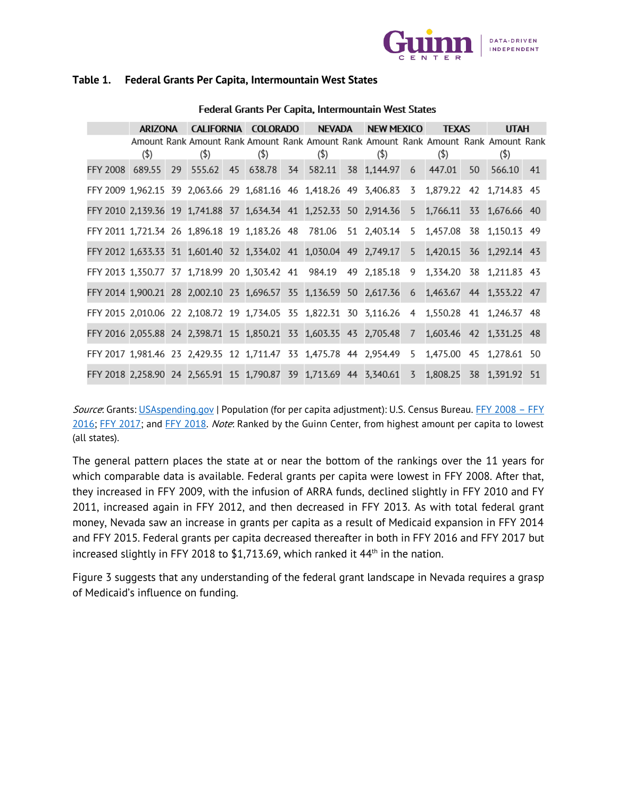

### **Table 1. Federal Grants Per Capita, Intermountain West States**

|                                                                                             | ARIZONA |    |                                                                                                |  | CALIFORNIA COLORADO |  | NEVADA  |  | NEW MEXICO                                      |  | <b>TEXAS</b> |    | <b>UTAH</b> |  |
|---------------------------------------------------------------------------------------------|---------|----|------------------------------------------------------------------------------------------------|--|---------------------|--|---------|--|-------------------------------------------------|--|--------------|----|-------------|--|
|                                                                                             | $(\$)$  |    | Amount Rank Amount Rank Amount Rank Amount Rank Amount Rank Amount Rank Amount Rank<br>$($ \$) |  | $($ \$)             |  | $($ \$) |  | $($ \$)                                         |  | $($ \$)      |    | $($ \$)     |  |
| FFY 2008 689.55                                                                             |         | 29 |                                                                                                |  |                     |  |         |  | 555.62 45 638.78 34 582.11 38 1,144.97 6 447.01 |  |              | 50 | 566.10 41   |  |
| FFY 2009 1,962.15 39 2,063.66 29 1,681.16 46 1,418.26 49 3,406.83 3 1,879.22 42 1,714.83 45 |         |    |                                                                                                |  |                     |  |         |  |                                                 |  |              |    |             |  |
| FFY 2010 2,139.36 19 1,741.88 37 1,634.34 41 1,252.33 50 2,914.36 5 1,766.11 33 1,676.66 40 |         |    |                                                                                                |  |                     |  |         |  |                                                 |  |              |    |             |  |
| FFY 2011 1,721.34 26 1,896.18 19 1,183.26 48 781.06 51 2,403.14 5 1,457.08 38 1,150.13 49   |         |    |                                                                                                |  |                     |  |         |  |                                                 |  |              |    |             |  |
| FFY 2012 1,633.33 31 1,601.40 32 1,334.02 41 1,030.04 49 2,749.17 5 1,420.15 36 1,292.14 43 |         |    |                                                                                                |  |                     |  |         |  |                                                 |  |              |    |             |  |
| FFY 2013 1,350.77 37 1,718.99 20 1,303.42 41 984.19 49 2,185.18 9 1,334.20 38 1,211.83 43   |         |    |                                                                                                |  |                     |  |         |  |                                                 |  |              |    |             |  |
| FFY 2014 1,900.21 28 2,002.10 23 1,696.57 35 1,136.59 50 2,617.36 6 1,463.67 44 1,353.22 47 |         |    |                                                                                                |  |                     |  |         |  |                                                 |  |              |    |             |  |
| FFY 2015 2,010.06 22 2,108.72 19 1,734.05 35 1,822.31 30 3,116.26 4 1,550.28 41 1,246.37 48 |         |    |                                                                                                |  |                     |  |         |  |                                                 |  |              |    |             |  |
| FFY 2016 2,055.88 24 2,398.71 15 1,850.21 33 1,603.35 43 2,705.48 7 1,603.46 42 1,331.25 48 |         |    |                                                                                                |  |                     |  |         |  |                                                 |  |              |    |             |  |
| FFY 2017 1,981.46 23 2,429.35 12 1,711.47 33 1,475.78 44 2,954.49 5 1,475.00 45 1,278.61 50 |         |    |                                                                                                |  |                     |  |         |  |                                                 |  |              |    |             |  |
| FFY 2018 2,258.90 24 2,565.91 15 1,790.87 39 1,713.69 44 3,340.61 3 1,808.25 38 1,391.92 51 |         |    |                                                                                                |  |                     |  |         |  |                                                 |  |              |    |             |  |

#### Federal Grants Per Capita, Intermountain West States

Source: Grants: [USAspending.gov](https://www.usaspending.gov/#/) | Population (for per capita adjustment): U.S. Census Bureau. [FFY 2008](https://factfinder.census.gov/faces/nav/jsf/pages/index.xhtml) - FFY [2016;](https://factfinder.census.gov/faces/nav/jsf/pages/index.xhtml) [FFY 2017;](https://www2.census.gov/programs-surveys/popest/tables/2010-2017/state/totals/nst-est2017-03.xlsx) and [FFY 2018.](https://www2.census.gov/programs-surveys/popest/tables/2010-2018/state/totals/nst-est2018-03.xlsx) Note: Ranked by the Guinn Center, from highest amount per capita to lowest (all states).

The general pattern places the state at or near the bottom of the rankings over the 11 years for which comparable data is available. Federal grants per capita were lowest in FFY 2008. After that, they increased in FFY 2009, with the infusion of ARRA funds, declined slightly in FFY 2010 and FY 2011, increased again in FFY 2012, and then decreased in FFY 2013. As with total federal grant money, Nevada saw an increase in grants per capita as a result of Medicaid expansion in FFY 2014 and FFY 2015. Federal grants per capita decreased thereafter in both in FFY 2016 and FFY 2017 but increased slightly in FFY 2018 to  $$1,713.69$ , which ranked it  $44<sup>th</sup>$  in the nation.

Figure 3 suggests that any understanding of the federal grant landscape in Nevada requires a grasp of Medicaid's influence on funding.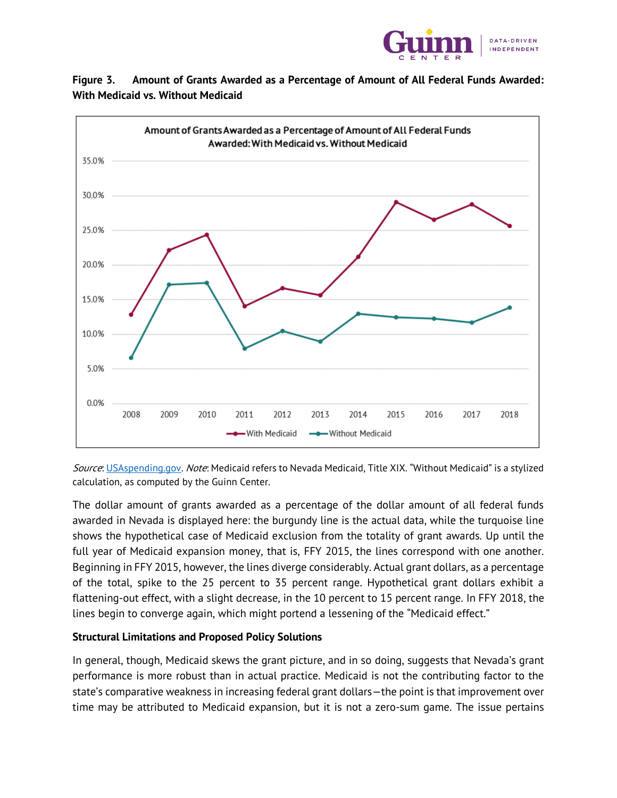





Source[: USAspending.gov.](https://www.usaspending.gov/#/) Note: Medicaid refers to Nevada Medicaid, Title XIX. "Without Medicaid" is a stylized calculation, as computed by the Guinn Center.

The dollar amount of grants awarded as a percentage of the dollar amount of all federal funds awarded in Nevada is displayed here: the burgundy line is the actual data, while the turquoise line shows the hypothetical case of Medicaid exclusion from the totality of grant awards. Up until the full year of Medicaid expansion money, that is, FFY 2015, the lines correspond with one another. Beginning in FFY 2015, however, the lines diverge considerably. Actual grant dollars, as a percentage of the total, spike to the 25 percent to 35 percent range. Hypothetical grant dollars exhibit a flattening-out effect, with a slight decrease, in the 10 percent to 15 percent range. In FFY 2018, the lines begin to converge again, which might portend a lessening of the "Medicaid effect."

## **Structural Limitations and Proposed Policy Solutions**

In general, though, Medicaid skews the grant picture, and in so doing, suggests that Nevada's grant performance is more robust than in actual practice. Medicaid is not the contributing factor to the state's comparative weakness in increasing federal grant dollars—the point is that improvement over time may be attributed to Medicaid expansion, but it is not a zero-sum game. The issue pertains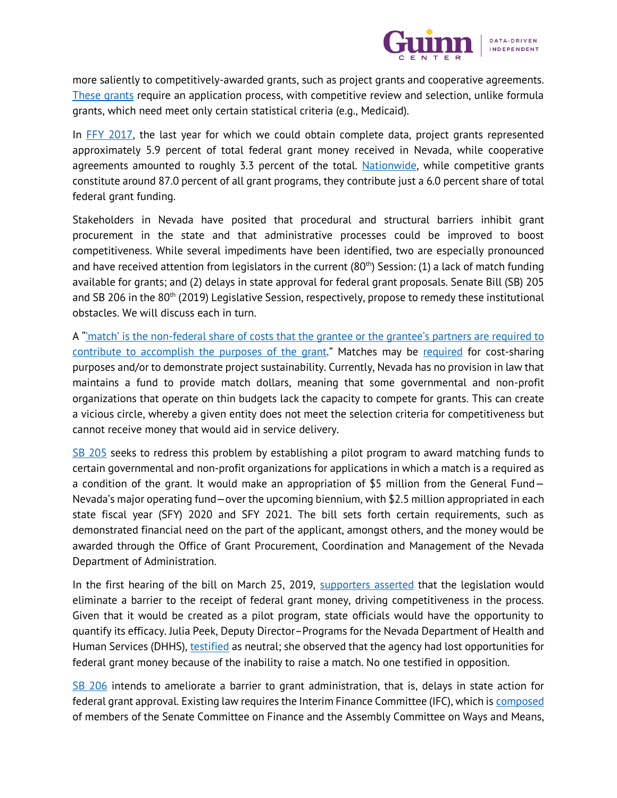

more saliently to competitively-awarded grants, such as project grants and cooperative agreements. [These grants](https://blog.grants.gov/2016/07/13/what-is-a-formula-grant/) require an application process, with competitive review and selection, unlike formula grants, which need meet only certain statistical criteria (e.g., Medicaid).

In [FFY 2017,](https://www.usaspending.gov/#/) the last year for which we could obtain complete data, project grants represented approximately 5.9 percent of total federal grant money received in Nevada, while cooperative agreements amounted to roughly 3.3 percent of the total. [Nationwide,](https://www.ffis.org/sites/default/files/public/publications/primer_2015.pdf) while competitive grants constitute around 87.0 percent of all grant programs, they contribute just a 6.0 percent share of total federal grant funding.

Stakeholders in Nevada have posited that procedural and structural barriers inhibit grant procurement in the state and that administrative processes could be improved to boost competitiveness. While several impediments have been identified, two are especially pronounced and have received attention from legislators in the current  $(80<sup>th</sup>)$  Session: (1) a lack of match funding available for grants; and (2) delays in state approval for federal grant proposals. Senate Bill (SB) 205 and SB 206 in the 80<sup>th</sup> (2019) Legislative Session, respectively, propose to remedy these institutional obstacles. We will discuss each in turn.

A "'match' is the non-federal share of costs that [the grantee or the grantee's partners are required to](https://www.nicwa.org/wp-content/uploads/2016/11/2012_GrantMatch_FactSheet.pdf)  [contribute to accomplish the purposes of the grant.](https://www.nicwa.org/wp-content/uploads/2016/11/2012_GrantMatch_FactSheet.pdf)" Matches may be [required](https://www.nicwa.org/wp-content/uploads/2016/11/2012_GrantMatch_FactSheet.pdf) for cost-sharing purposes and/or to demonstrate project sustainability. Currently, Nevada has no provision in law that maintains a fund to provide match dollars, meaning that some governmental and non-profit organizations that operate on thin budgets lack the capacity to compete for grants. This can create a vicious circle, whereby a given entity does not meet the selection criteria for competitiveness but cannot receive money that would aid in service delivery.

[SB 205](https://www.leg.state.nv.us/App/NELIS/REL/80th2019/Bill/6349/Text) seeks to redress this problem by establishing a pilot program to award matching funds to certain governmental and non-profit organizations for applications in which a match is a required as a condition of the grant. It would make an appropriation of \$5 million from the General Fund— Nevada's major operating fund—over the upcoming biennium, with \$2.5 million appropriated in each state fiscal year (SFY) 2020 and SFY 2021. The bill sets forth certain requirements, such as demonstrated financial need on the part of the applicant, amongst others, and the money would be awarded through the Office of Grant Procurement, Coordination and Management of the Nevada Department of Administration.

In the first hearing of the bill on March 25, 2019, [supporters asserted](http://nvleg.granicus.com/MediaPlayer.php?event_id=21117) that the legislation would eliminate a barrier to the receipt of federal grant money, driving competitiveness in the process. Given that it would be created as a pilot program, state officials would have the opportunity to quantify its efficacy. Julia Peek, Deputy Director–Programs for the Nevada Department of Health and Human Services (DHHS)[, testified](http://nvleg.granicus.com/MediaPlayer.php?event_id=21117) as neutral; she observed that the agency had lost opportunities for federal grant money because of the inability to raise a match. No one testified in opposition.

[SB 206](https://www.leg.state.nv.us/App/NELIS/REL/80th2019/Bill/6350/Text) intends to ameliorate a barrier to grant administration, that is, delays in state action for federal grant approval. Existing law requires the Interim Finance Committee (IFC), which is [composed](http://budget.nv.gov/Interim-Finance-Committee/) of members of the Senate Committee on Finance and the Assembly Committee on Ways and Means,